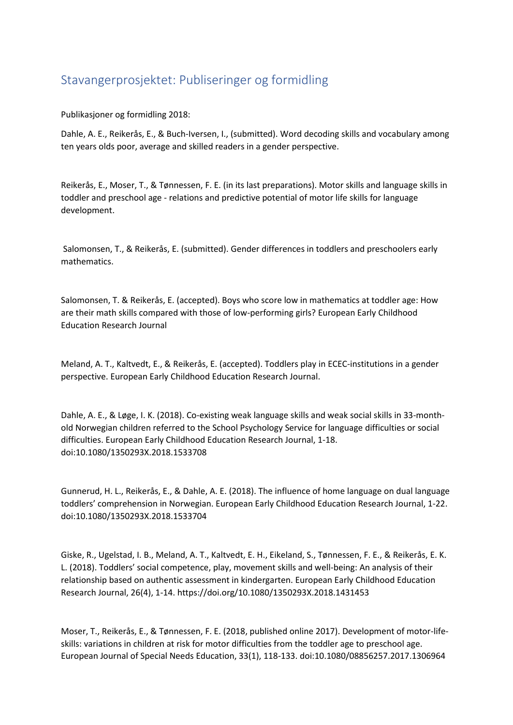## Stavangerprosjektet: Publiseringer og formidling

Publikasjoner og formidling 2018:

Dahle, A. E., Reikerås, E., & Buch-Iversen, I., (submitted). Word decoding skills and vocabulary among ten years olds poor, average and skilled readers in a gender perspective.

Reikerås, E., Moser, T., & Tønnessen, F. E. (in its last preparations). Motor skills and language skills in toddler and preschool age - relations and predictive potential of motor life skills for language development.

Salomonsen, T., & Reikerås, E. (submitted). Gender differences in toddlers and preschoolers early mathematics.

Salomonsen, T. & Reikerås, E. (accepted). Boys who score low in mathematics at toddler age: How are their math skills compared with those of low-performing girls? European Early Childhood Education Research Journal

Meland, A. T., Kaltvedt, E., & Reikerås, E. (accepted). Toddlers play in ECEC-institutions in a gender perspective. European Early Childhood Education Research Journal.

Dahle, A. E., & Løge, I. K. (2018). Co-existing weak language skills and weak social skills in 33-monthold Norwegian children referred to the School Psychology Service for language difficulties or social difficulties. European Early Childhood Education Research Journal, 1-18. doi:10.1080/1350293X.2018.1533708

Gunnerud, H. L., Reikerås, E., & Dahle, A. E. (2018). The influence of home language on dual language toddlers' comprehension in Norwegian. European Early Childhood Education Research Journal, 1-22. doi:10.1080/1350293X.2018.1533704

Giske, R., Ugelstad, I. B., Meland, A. T., Kaltvedt, E. H., Eikeland, S., Tønnessen, F. E., & Reikerås, E. K. L. (2018). Toddlers' social competence, play, movement skills and well-being: An analysis of their relationship based on authentic assessment in kindergarten. European Early Childhood Education Research Journal, 26(4), 1-14. https://doi.org/10.1080/1350293X.2018.1431453

Moser, T., Reikerås, E., & Tønnessen, F. E. (2018, published online 2017). Development of motor-lifeskills: variations in children at risk for motor difficulties from the toddler age to preschool age. European Journal of Special Needs Education, 33(1), 118-133. doi:10.1080/08856257.2017.1306964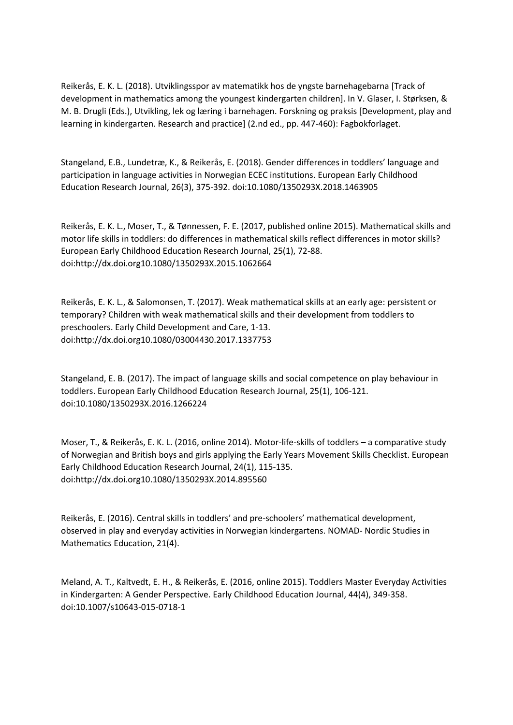Reikerås, E. K. L. (2018). Utviklingsspor av matematikk hos de yngste barnehagebarna [Track of development in mathematics among the youngest kindergarten children]. In V. Glaser, I. Størksen, & M. B. Drugli (Eds.), Utvikling, lek og læring i barnehagen. Forskning og praksis [Development, play and learning in kindergarten. Research and practice] (2.nd ed., pp. 447-460): Fagbokforlaget.

Stangeland, E.B., Lundetræ, K., & Reikerås, E. (2018). Gender differences in toddlers' language and participation in language activities in Norwegian ECEC institutions. European Early Childhood Education Research Journal, 26(3), 375-392. doi:10.1080/1350293X.2018.1463905

Reikerås, E. K. L., Moser, T., & Tønnessen, F. E. (2017, published online 2015). Mathematical skills and motor life skills in toddlers: do differences in mathematical skills reflect differences in motor skills? European Early Childhood Education Research Journal, 25(1), 72-88. doi:http://dx.doi.org10.1080/1350293X.2015.1062664

Reikerås, E. K. L., & Salomonsen, T. (2017). Weak mathematical skills at an early age: persistent or temporary? Children with weak mathematical skills and their development from toddlers to preschoolers. Early Child Development and Care, 1-13. doi:http://dx.doi.org10.1080/03004430.2017.1337753

Stangeland, E. B. (2017). The impact of language skills and social competence on play behaviour in toddlers. European Early Childhood Education Research Journal, 25(1), 106-121. doi:10.1080/1350293X.2016.1266224

Moser, T., & Reikerås, E. K. L. (2016, online 2014). Motor-life-skills of toddlers – a comparative study of Norwegian and British boys and girls applying the Early Years Movement Skills Checklist. European Early Childhood Education Research Journal, 24(1), 115-135. doi:http://dx.doi.org10.1080/1350293X.2014.895560

Reikerås, E. (2016). Central skills in toddlers' and pre-schoolers' mathematical development, observed in play and everyday activities in Norwegian kindergartens. NOMAD- Nordic Studies in Mathematics Education, 21(4).

Meland, A. T., Kaltvedt, E. H., & Reikerås, E. (2016, online 2015). Toddlers Master Everyday Activities in Kindergarten: A Gender Perspective. Early Childhood Education Journal, 44(4), 349-358. doi:10.1007/s10643-015-0718-1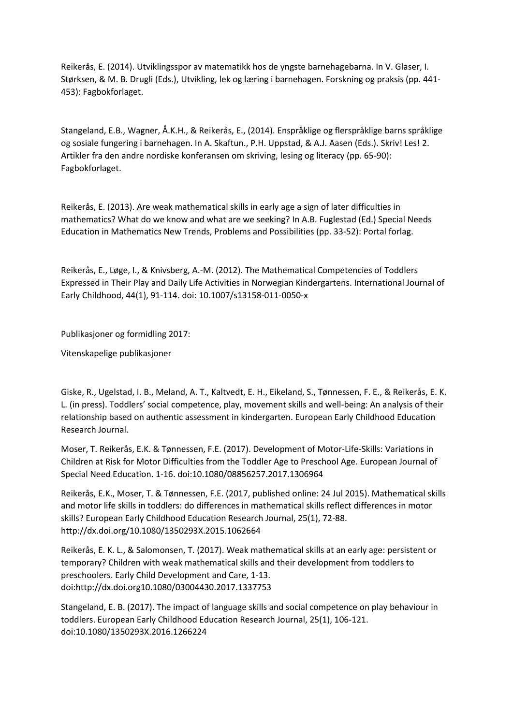Reikerås, E. (2014). Utviklingsspor av matematikk hos de yngste barnehagebarna. In V. Glaser, I. Størksen, & M. B. Drugli (Eds.), Utvikling, lek og læring i barnehagen. Forskning og praksis (pp. 441- 453): Fagbokforlaget.

Stangeland, E.B., Wagner, Å.K.H., & Reikerås, E., (2014). Enspråklige og flerspråklige barns språklige og sosiale fungering i barnehagen. In A. Skaftun., P.H. Uppstad, & A.J. Aasen (Eds.). Skriv! Les! 2. Artikler fra den andre nordiske konferansen om skriving, lesing og literacy (pp. 65-90): Fagbokforlaget.

Reikerås, E. (2013). Are weak mathematical skills in early age a sign of later difficulties in mathematics? What do we know and what are we seeking? In A.B. Fuglestad (Ed.) Special Needs Education in Mathematics New Trends, Problems and Possibilities (pp. 33-52): Portal forlag.

Reikerås, E., Løge, I., & Knivsberg, A.-M. (2012). The Mathematical Competencies of Toddlers Expressed in Their Play and Daily Life Activities in Norwegian Kindergartens. International Journal of Early Childhood, 44(1), 91-114. doi: 10.1007/s13158-011-0050-x

Publikasjoner og formidling 2017:

Vitenskapelige publikasjoner

Giske, R., Ugelstad, I. B., Meland, A. T., Kaltvedt, E. H., Eikeland, S., Tønnessen, F. E., & Reikerås, E. K. L. (in press). Toddlers' social competence, play, movement skills and well-being: An analysis of their relationship based on authentic assessment in kindergarten. European Early Childhood Education Research Journal.

Moser, T. Reikerås, E.K. & Tønnessen, F.E. (2017). Development of Motor-Life-Skills: Variations in Children at Risk for Motor Difficulties from the Toddler Age to Preschool Age. European Journal of Special Need Education. 1-16. doi:10.1080/08856257.2017.1306964

Reikerås, E.K., Moser, T. & Tønnessen, F.E. (2017, published online: 24 Jul 2015). Mathematical skills and motor life skills in toddlers: do differences in mathematical skills reflect differences in motor skills? European Early Childhood Education Research Journal, 25(1), 72-88. http://dx.doi.org/10.1080/1350293X.2015.1062664

Reikerås, E. K. L., & Salomonsen, T. (2017). Weak mathematical skills at an early age: persistent or temporary? Children with weak mathematical skills and their development from toddlers to preschoolers. Early Child Development and Care, 1-13. doi:http://dx.doi.org10.1080/03004430.2017.1337753

Stangeland, E. B. (2017). The impact of language skills and social competence on play behaviour in toddlers. European Early Childhood Education Research Journal, 25(1), 106-121. doi:10.1080/1350293X.2016.1266224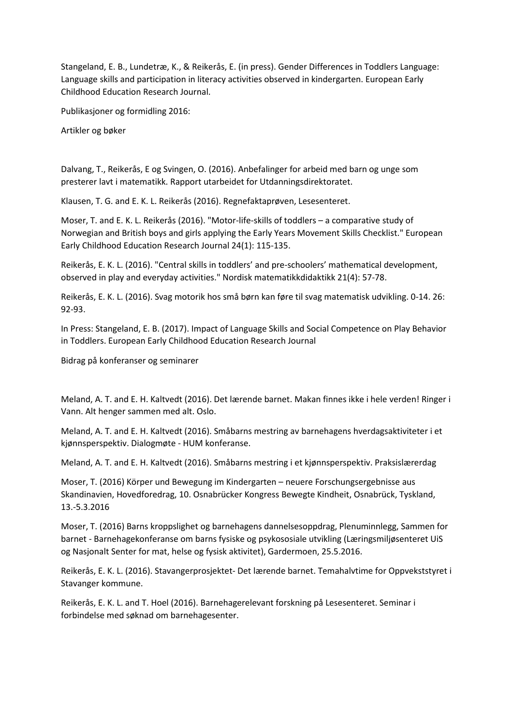Stangeland, E. B., Lundetræ, K., & Reikerås, E. (in press). Gender Differences in Toddlers Language: Language skills and participation in literacy activities observed in kindergarten. European Early Childhood Education Research Journal.

Publikasjoner og formidling 2016:

Artikler og bøker

Dalvang, T., Reikerås, E og Svingen, O. (2016). Anbefalinger for arbeid med barn og unge som presterer lavt i matematikk. Rapport utarbeidet for Utdanningsdirektoratet.

Klausen, T. G. and E. K. L. Reikerås (2016). Regnefaktaprøven, Lesesenteret.

Moser, T. and E. K. L. Reikerås (2016). "Motor-life-skills of toddlers – a comparative study of Norwegian and British boys and girls applying the Early Years Movement Skills Checklist." European Early Childhood Education Research Journal 24(1): 115-135.

Reikerås, E. K. L. (2016). "Central skills in toddlers' and pre-schoolers' mathematical development, observed in play and everyday activities." Nordisk matematikkdidaktikk 21(4): 57-78.

Reikerås, E. K. L. (2016). Svag motorik hos små børn kan føre til svag matematisk udvikling. 0-14. 26: 92-93.

In Press: Stangeland, E. B. (2017). Impact of Language Skills and Social Competence on Play Behavior in Toddlers. European Early Childhood Education Research Journal

Bidrag på konferanser og seminarer

Meland, A. T. and E. H. Kaltvedt (2016). Det lærende barnet. Makan finnes ikke i hele verden! Ringer i Vann. Alt henger sammen med alt. Oslo.

Meland, A. T. and E. H. Kaltvedt (2016). Småbarns mestring av barnehagens hverdagsaktiviteter i et kjønnsperspektiv. Dialogmøte - HUM konferanse.

Meland, A. T. and E. H. Kaltvedt (2016). Småbarns mestring i et kjønnsperspektiv. Praksislærerdag

Moser, T. (2016) Körper und Bewegung im Kindergarten – neuere Forschungsergebnisse aus Skandinavien, Hovedforedrag, 10. Osnabrücker Kongress Bewegte Kindheit, Osnabrück, Tyskland, 13.-5.3.2016

Moser, T. (2016) Barns kroppslighet og barnehagens dannelsesoppdrag, Plenuminnlegg, Sammen for barnet - Barnehagekonferanse om barns fysiske og psykososiale utvikling (Læringsmiljøsenteret UiS og Nasjonalt Senter for mat, helse og fysisk aktivitet), Gardermoen, 25.5.2016.

Reikerås, E. K. L. (2016). Stavangerprosjektet- Det lærende barnet. Temahalvtime for Oppvekststyret i Stavanger kommune.

Reikerås, E. K. L. and T. Hoel (2016). Barnehagerelevant forskning på Lesesenteret. Seminar i forbindelse med søknad om barnehagesenter.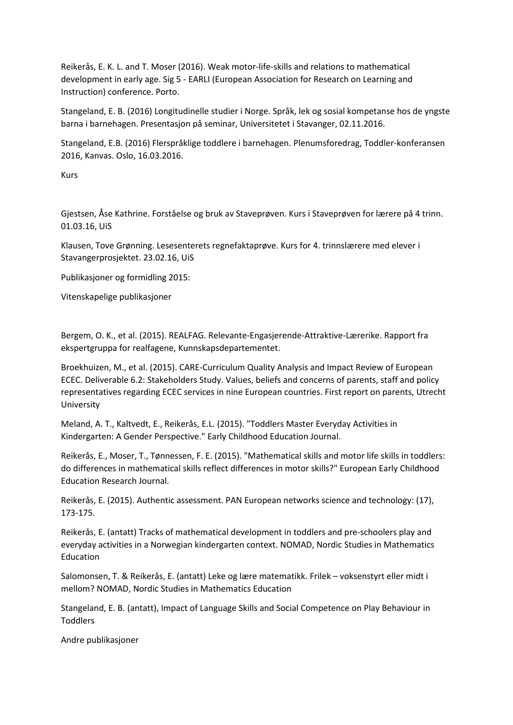Reikerås, E. K. L. and T. Moser (2016). Weak motor-life-skills and relations to mathematical development in early age. Sig 5 - EARLI (European Association for Research on Learning and Instruction) conference. Porto.

Stangeland, E. B. (2016) Longitudinelle studier i Norge. Språk, lek og sosial kompetanse hos de yngste barna i barnehagen. Presentasjon på seminar, Universitetet i Stavanger, 02.11.2016.

Stangeland, E.B. (2016) Flerspråklige toddlere i barnehagen. Plenumsforedrag, Toddler-konferansen 2016, Kanvas. Oslo, 16.03.2016.

Kurs

Gjestsen, Åse Kathrine. Forståelse og bruk av Staveprøven. Kurs i Staveprøven for lærere på 4 trinn. 01.03.16, UiS

Klausen, Tove Grønning. Lesesenterets regnefaktaprøve. Kurs for 4. trinnslærere med elever i Stavangerprosjektet. 23.02.16, UiS

Publikasjoner og formidling 2015:

Vitenskapelige publikasjoner

Bergem, O. K., et al. (2015). REALFAG. Relevante-Engasjerende-Attraktive-Lærerike. Rapport fra ekspertgruppa for realfagene, Kunnskapsdepartementet.

Broekhuizen, M., et al. (2015). CARE-Curriculum Quality Analysis and Impact Review of European ECEC. Deliverable 6.2: Stakeholders Study. Values, beliefs and concerns of parents, staff and policy representatives regarding ECEC services in nine European countries. First report on parents, Utrecht University

Meland, A. T., Kaltvedt, E., Reikerås, E.L. (2015). "Toddlers Master Everyday Activities in Kindergarten: A Gender Perspective." Early Childhood Education Journal.

Reikerås, E., Moser, T., Tønnessen, F. E. (2015). "Mathematical skills and motor life skills in toddlers: do differences in mathematical skills reflect differences in motor skills?" European Early Childhood Education Research Journal.

Reikerås, E. (2015). Authentic assessment. PAN European networks science and technology: (17), 173-175.

Reikerås, E. (antatt) Tracks of mathematical development in toddlers and pre-schoolers play and everyday activities in a Norwegian kindergarten context. NOMAD, Nordic Studies in Mathematics Education

Salomonsen, T. & Reikerås, E. (antatt) Leke og lære matematikk. Frilek – voksenstyrt eller midt i mellom? NOMAD, Nordic Studies in Mathematics Education

Stangeland, E. B. (antatt), Impact of Language Skills and Social Competence on Play Behaviour in Toddlers

Andre publikasjoner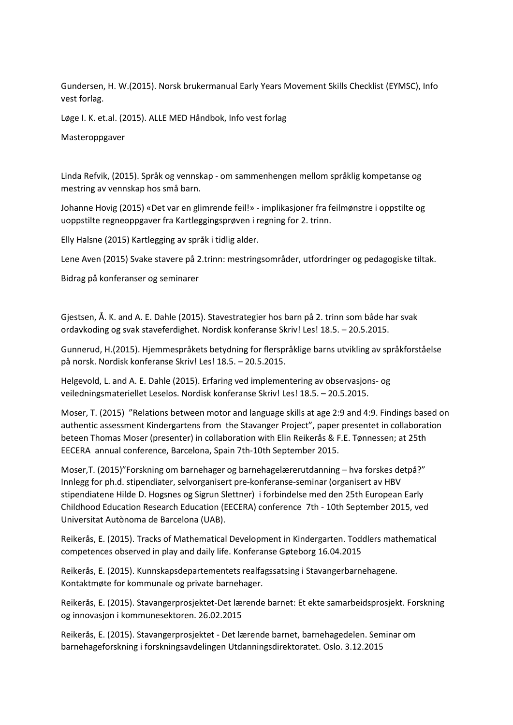Gundersen, H. W.(2015). Norsk brukermanual Early Years Movement Skills Checklist (EYMSC), Info vest forlag.

Løge I. K. et.al. (2015). ALLE MED Håndbok, Info vest forlag

Masteroppgaver

Linda Refvik, (2015). Språk og vennskap - om sammenhengen mellom språklig kompetanse og mestring av vennskap hos små barn.

Johanne Hovig (2015) «Det var en glimrende feil!» - implikasjoner fra feilmønstre i oppstilte og uoppstilte regneoppgaver fra Kartleggingsprøven i regning for 2. trinn.

Elly Halsne (2015) Kartlegging av språk i tidlig alder.

Lene Aven (2015) Svake stavere på 2.trinn: mestringsområder, utfordringer og pedagogiske tiltak.

Bidrag på konferanser og seminarer

Gjestsen, Å. K. and A. E. Dahle (2015). Stavestrategier hos barn på 2. trinn som både har svak ordavkoding og svak staveferdighet. Nordisk konferanse Skriv! Les! 18.5. – 20.5.2015.

Gunnerud, H.(2015). Hjemmespråkets betydning for flerspråklige barns utvikling av språkforståelse på norsk. Nordisk konferanse Skriv! Les! 18.5. – 20.5.2015.

Helgevold, L. and A. E. Dahle (2015). Erfaring ved implementering av observasjons- og veiledningsmateriellet Leselos. Nordisk konferanse Skriv! Les! 18.5. – 20.5.2015.

Moser, T. (2015) "Relations between motor and language skills at age 2:9 and 4:9. Findings based on authentic assessment Kindergartens from the Stavanger Project", paper presentet in collaboration beteen Thomas Moser (presenter) in collaboration with Elin Reikerås & F.E. Tønnessen; at 25th EECERA annual conference, Barcelona, Spain 7th-10th September 2015.

Moser,T. (2015)"Forskning om barnehager og barnehagelærerutdanning – hva forskes detpå?" Innlegg for ph.d. stipendiater, selvorganisert pre-konferanse-seminar (organisert av HBV stipendiatene Hilde D. Hogsnes og Sigrun Slettner) i forbindelse med den 25th European Early Childhood Education Research Education (EECERA) conference 7th - 10th September 2015, ved Universitat Autònoma de Barcelona (UAB).

Reikerås, E. (2015). Tracks of Mathematical Development in Kindergarten. Toddlers mathematical competences observed in play and daily life. Konferanse Gøteborg 16.04.2015

Reikerås, E. (2015). Kunnskapsdepartementets realfagssatsing i Stavangerbarnehagene. Kontaktmøte for kommunale og private barnehager.

Reikerås, E. (2015). Stavangerprosjektet-Det lærende barnet: Et ekte samarbeidsprosjekt. Forskning og innovasjon i kommunesektoren. 26.02.2015

Reikerås, E. (2015). Stavangerprosjektet - Det lærende barnet, barnehagedelen. Seminar om barnehageforskning i forskningsavdelingen Utdanningsdirektoratet. Oslo. 3.12.2015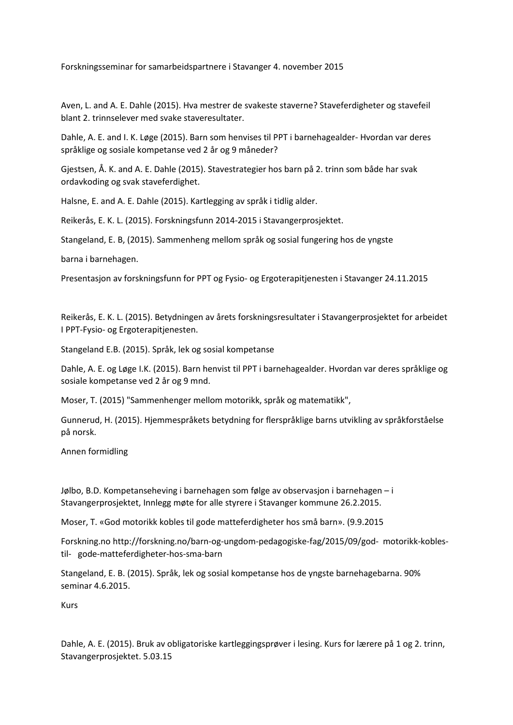Forskningsseminar for samarbeidspartnere i Stavanger 4. november 2015

Aven, L. and A. E. Dahle (2015). Hva mestrer de svakeste staverne? Staveferdigheter og stavefeil blant 2. trinnselever med svake staveresultater.

Dahle, A. E. and I. K. Løge (2015). Barn som henvises til PPT i barnehagealder- Hvordan var deres språklige og sosiale kompetanse ved 2 år og 9 måneder?

Gjestsen, Å. K. and A. E. Dahle (2015). Stavestrategier hos barn på 2. trinn som både har svak ordavkoding og svak staveferdighet.

Halsne, E. and A. E. Dahle (2015). Kartlegging av språk i tidlig alder.

Reikerås, E. K. L. (2015). Forskningsfunn 2014-2015 i Stavangerprosjektet.

Stangeland, E. B, (2015). Sammenheng mellom språk og sosial fungering hos de yngste

barna i barnehagen.

Presentasjon av forskningsfunn for PPT og Fysio- og Ergoterapitjenesten i Stavanger 24.11.2015

Reikerås, E. K. L. (2015). Betydningen av årets forskningsresultater i Stavangerprosjektet for arbeidet I PPT-Fysio- og Ergoterapitjenesten.

Stangeland E.B. (2015). Språk, lek og sosial kompetanse

Dahle, A. E. og Løge I.K. (2015). Barn henvist til PPT i barnehagealder. Hvordan var deres språklige og sosiale kompetanse ved 2 år og 9 mnd.

Moser, T. (2015) "Sammenhenger mellom motorikk, språk og matematikk",

Gunnerud, H. (2015). Hjemmespråkets betydning for flerspråklige barns utvikling av språkforståelse på norsk.

Annen formidling

Jølbo, B.D. Kompetanseheving i barnehagen som følge av observasjon i barnehagen – i Stavangerprosjektet, Innlegg møte for alle styrere i Stavanger kommune 26.2.2015.

Moser, T. «God motorikk kobles til gode matteferdigheter hos små barn». (9.9.2015

Forskning.no http://forskning.no/barn-og-ungdom-pedagogiske-fag/2015/09/god- motorikk-koblestil- gode-matteferdigheter-hos-sma-barn

Stangeland, E. B. (2015). Språk, lek og sosial kompetanse hos de yngste barnehagebarna. 90% seminar 4.6.2015.

Kurs

Dahle, A. E. (2015). Bruk av obligatoriske kartleggingsprøver i lesing. Kurs for lærere på 1 og 2. trinn, Stavangerprosjektet. 5.03.15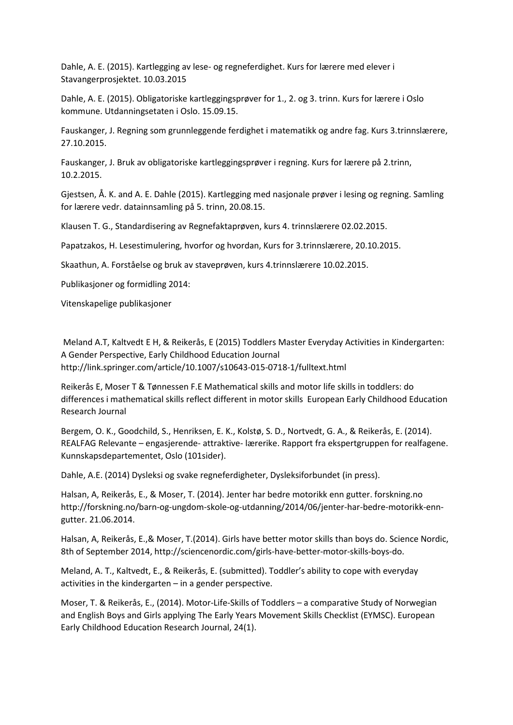Dahle, A. E. (2015). Kartlegging av lese- og regneferdighet. Kurs for lærere med elever i Stavangerprosjektet. 10.03.2015

Dahle, A. E. (2015). Obligatoriske kartleggingsprøver for 1., 2. og 3. trinn. Kurs for lærere i Oslo kommune. Utdanningsetaten i Oslo. 15.09.15.

Fauskanger, J. Regning som grunnleggende ferdighet i matematikk og andre fag. Kurs 3.trinnslærere, 27.10.2015.

Fauskanger, J. Bruk av obligatoriske kartleggingsprøver i regning. Kurs for lærere på 2.trinn, 10.2.2015.

Gjestsen, Å. K. and A. E. Dahle (2015). Kartlegging med nasjonale prøver i lesing og regning. Samling for lærere vedr. datainnsamling på 5. trinn, 20.08.15.

Klausen T. G., Standardisering av Regnefaktaprøven, kurs 4. trinnslærere 02.02.2015.

Papatzakos, H. Lesestimulering, hvorfor og hvordan, Kurs for 3.trinnslærere, 20.10.2015.

Skaathun, A. Forståelse og bruk av staveprøven, kurs 4.trinnslærere 10.02.2015.

Publikasjoner og formidling 2014:

Vitenskapelige publikasjoner

Meland A.T, Kaltvedt E H, & Reikerås, E (2015) Toddlers Master Everyday Activities in Kindergarten: A Gender Perspective, Early Childhood Education Journal http://link.springer.com/article/10.1007/s10643-015-0718-1/fulltext.html

Reikerås E, Moser T & Tønnessen F.E Mathematical skills and motor life skills in toddlers: do differences i mathematical skills reflect different in motor skills European Early Childhood Education Research Journal

Bergem, O. K., Goodchild, S., Henriksen, E. K., Kolstø, S. D., Nortvedt, G. A., & Reikerås, E. (2014). REALFAG Relevante – engasjerende- attraktive- lærerike. Rapport fra ekspertgruppen for realfagene. Kunnskapsdepartementet, Oslo (101sider).

Dahle, A.E. (2014) Dysleksi og svake regneferdigheter, Dysleksiforbundet (in press).

Halsan, A, Reikerås, E., & Moser, T. (2014). Jenter har bedre motorikk enn gutter. forskning.no http://forskning.no/barn-og-ungdom-skole-og-utdanning/2014/06/jenter-har-bedre-motorikk-enngutter. 21.06.2014.

Halsan, A, Reikerås, E.,& Moser, T.(2014). Girls have better motor skills than boys do. Science Nordic, 8th of September 2014, http://sciencenordic.com/girls-have-better-motor-skills-boys-do.

Meland, A. T., Kaltvedt, E., & Reikerås, E. (submitted). Toddler's ability to cope with everyday activities in the kindergarten – in a gender perspective.

Moser, T. & Reikerås, E., (2014). Motor-Life-Skills of Toddlers – a comparative Study of Norwegian and English Boys and Girls applying The Early Years Movement Skills Checklist (EYMSC). European Early Childhood Education Research Journal, 24(1).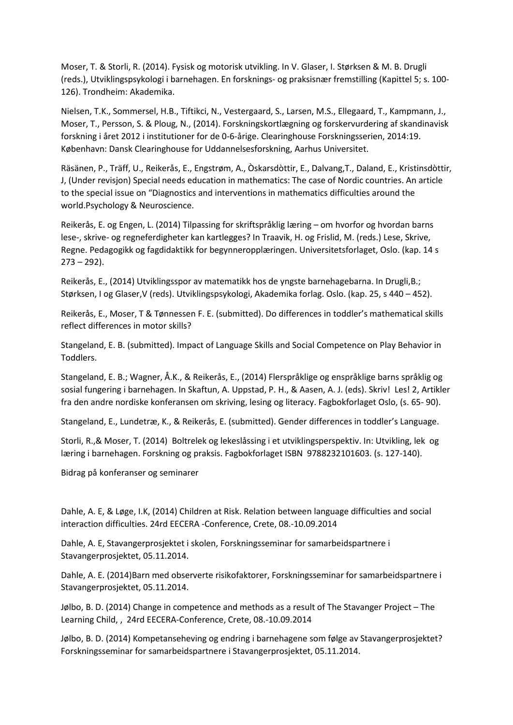Moser, T. & Storli, R. (2014). Fysisk og motorisk utvikling. In V. Glaser, I. Størksen & M. B. Drugli (reds.), Utviklingspsykologi i barnehagen. En forsknings- og praksisnær fremstilling (Kapittel 5; s. 100- 126). Trondheim: Akademika.

Nielsen, T.K., Sommersel, H.B., Tiftikci, N., Vestergaard, S., Larsen, M.S., Ellegaard, T., Kampmann, J., Moser, T., Persson, S. & Ploug, N., (2014). Forskningskortlægning og forskervurdering af skandinavisk forskning i året 2012 i institutioner for de 0-6-årige. Clearinghouse Forskningsserien, 2014:19. København: Dansk Clearinghouse for Uddannelsesforskning, Aarhus Universitet.

Räsänen, P., Träff, U., Reikerås, E., Engstrøm, A., Òskarsdòttir, E., Dalvang,T., Daland, E., Kristinsdòttir, J, (Under revisjon) Special needs education in mathematics: The case of Nordic countries. An article to the special issue on "Diagnostics and interventions in mathematics difficulties around the world.Psychology & Neuroscience.

Reikerås, E. og Engen, L. (2014) Tilpassing for skriftspråklig læring – om hvorfor og hvordan barns lese-, skrive- og regneferdigheter kan kartlegges? In Traavik, H. og Frislid, M. (reds.) Lese, Skrive, Regne. Pedagogikk og fagdidaktikk for begynneropplæringen. Universitetsforlaget, Oslo. (kap. 14 s  $273 - 292$ ).

Reikerås, E., (2014) Utviklingsspor av matematikk hos de yngste barnehagebarna. In Drugli,B.; Størksen, I og Glaser,V (reds). Utviklingspsykologi, Akademika forlag. Oslo. (kap. 25, s 440 – 452).

Reikerås, E., Moser, T & Tønnessen F. E. (submitted). Do differences in toddler's mathematical skills reflect differences in motor skills?

Stangeland, E. B. (submitted). Impact of Language Skills and Social Competence on Play Behavior in Toddlers.

Stangeland, E. B.; Wagner, Å.K., & Reikerås, E., (2014) Flerspråklige og enspråklige barns språklig og sosial fungering i barnehagen. In Skaftun, A. Uppstad, P. H., & Aasen, A. J. (eds). Skriv! Les! 2, Artikler fra den andre nordiske konferansen om skriving, lesing og literacy. Fagbokforlaget Oslo, (s. 65- 90).

Stangeland, E., Lundetræ, K., & Reikerås, E. (submitted). Gender differences in toddler's Language.

Storli, R.,& Moser, T. (2014) Boltrelek og lekeslåssing i et utviklingsperspektiv. In: Utvikling, lek og læring i barnehagen. Forskning og praksis. Fagbokforlaget ISBN 9788232101603. (s. 127-140).

Bidrag på konferanser og seminarer

Dahle, A. E, & Løge, I.K, (2014) Children at Risk. Relation between language difficulties and social interaction difficulties. 24rd EECERA -Conference, Crete, 08.-10.09.2014

Dahle, A. E, Stavangerprosjektet i skolen, Forskningsseminar for samarbeidspartnere i Stavangerprosjektet, 05.11.2014.

Dahle, A. E. (2014)Barn med observerte risikofaktorer, Forskningsseminar for samarbeidspartnere i Stavangerprosjektet, 05.11.2014.

Jølbo, B. D. (2014) Change in competence and methods as a result of The Stavanger Project – The Learning Child, , 24rd EECERA-Conference, Crete, 08.-10.09.2014

Jølbo, B. D. (2014) Kompetanseheving og endring i barnehagene som følge av Stavangerprosjektet? Forskningsseminar for samarbeidspartnere i Stavangerprosjektet, 05.11.2014.